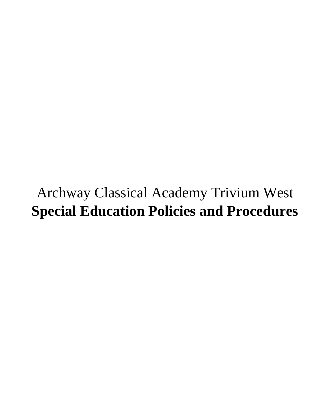# Archway Classical Academy Trivium West **Special Education Policies and Procedures**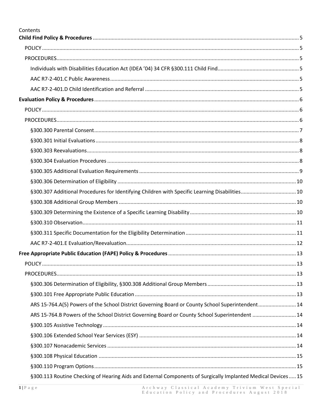| Contents                                                                                         |  |
|--------------------------------------------------------------------------------------------------|--|
|                                                                                                  |  |
|                                                                                                  |  |
|                                                                                                  |  |
|                                                                                                  |  |
|                                                                                                  |  |
|                                                                                                  |  |
|                                                                                                  |  |
|                                                                                                  |  |
|                                                                                                  |  |
|                                                                                                  |  |
|                                                                                                  |  |
|                                                                                                  |  |
|                                                                                                  |  |
|                                                                                                  |  |
|                                                                                                  |  |
|                                                                                                  |  |
|                                                                                                  |  |
|                                                                                                  |  |
|                                                                                                  |  |
|                                                                                                  |  |
|                                                                                                  |  |
|                                                                                                  |  |
|                                                                                                  |  |
|                                                                                                  |  |
|                                                                                                  |  |
| ARS 15-764.A(5) Powers of the School District Governing Board or County School Superintendent 14 |  |
| ARS 15-764.B Powers of the School District Governing Board or County School Superintendent  14   |  |
|                                                                                                  |  |
|                                                                                                  |  |
|                                                                                                  |  |
|                                                                                                  |  |
|                                                                                                  |  |

§300.113 Routine Checking of Hearing Aids and External Components of Surgically Implanted Medical Devices ..... 15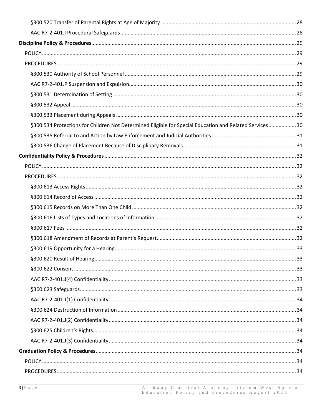| §300.534 Protections for Children Not Determined Eligible for Special Education and Related Services 30 |  |
|---------------------------------------------------------------------------------------------------------|--|
|                                                                                                         |  |
|                                                                                                         |  |
|                                                                                                         |  |
|                                                                                                         |  |
|                                                                                                         |  |
|                                                                                                         |  |
|                                                                                                         |  |
|                                                                                                         |  |
|                                                                                                         |  |
|                                                                                                         |  |
|                                                                                                         |  |
|                                                                                                         |  |
|                                                                                                         |  |
|                                                                                                         |  |
|                                                                                                         |  |
|                                                                                                         |  |
|                                                                                                         |  |
|                                                                                                         |  |
|                                                                                                         |  |
|                                                                                                         |  |
|                                                                                                         |  |
|                                                                                                         |  |
|                                                                                                         |  |
|                                                                                                         |  |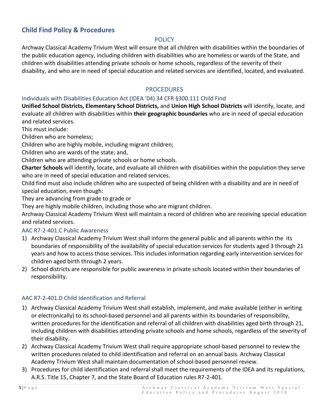# <span id="page-5-1"></span><span id="page-5-0"></span>**Child Find Policy & Procedures**

#### **POLICY**

Archway Classical Academy Trivium West will ensure that all children with disabilities within the boundaries of the public education agency, including children with disabilities who are homeless or wards of the State, and children with disabilities attending private schools or home schools, regardless of the severity of their disability, and who are in need of special education and related services are identified, located, and evaluated.

#### **PROCEDURES**

#### <span id="page-5-3"></span><span id="page-5-2"></span>Individuals with Disabilities Education Act (IDEA '04) 34 CFR §300.111 Child Find

**Unified School Districts, Elementary School Districts,** and **Union High School Districts** will identify, locate, and evaluate all children with disabilities within **their geographic boundaries** who are in need of special education and related services.

This must include:

Children who are homeless;

Children who are highly mobile, including migrant children;

Children who are wards of the state; and,

Children who are attending private schools or home schools.

**Charter Schools** will identify, locate, and evaluate all children with disabilities within the population they serve who are in need of special education and related services.

Child find must also include children who are suspected of being children with a disability and are in need of special education, even though:

They are advancing from grade to grade or

They are highly mobile children, including those who are migrant children.

Archway Classical Academy Trivium West will maintain a record of children who are receiving special education and related services.

#### <span id="page-5-4"></span>AAC R7-2-401.C Public Awareness

- 1) Archway Classical Academy Trivium West shall inform the general public and all parents within the its boundaries of responsibility of the availability of special education services for students aged 3 through 21 years and how to access those services. This includes information regarding early intervention services for children aged birth through 2 years.
- 2) School districts are responsible for public awareness in private schools located within their boundaries of responsibility.

#### <span id="page-5-5"></span>AAC R7-2-401.D Child Identification and Referral

- 1) Archway Classical Academy Trivium West shall establish, implement, and make available (either in writing or electronically) to its school-based personnel and all parents within its boundaries of responsibility, written procedures for the identification and referral of all children with disabilities aged birth through 21, including children with disabilities attending private schools and home schools, regardless of the severity of their disability.
- 2) Archway Classical Academy Trivium West shall require appropriate school-based personnel to review the written procedures related to child identification and referral on an annual basis. Archway Classical Academy Trivium West shall maintain documentation of school-based personnel review.
- 3) Procedures for child identification and referral shall meet the requirements of the IDEA and its regulations, A.R.S. Title 15, Chapter 7, and the State Board of Education rules R7-2-401.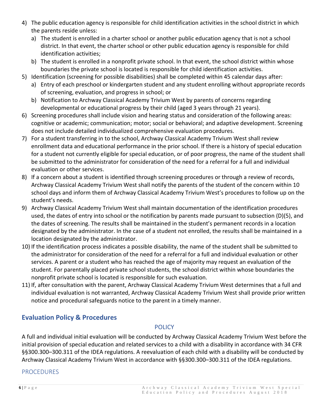- 4) The public education agency is responsible for child identification activities in the school district in which the parents reside unless:
	- a) The student is enrolled in a charter school or another public education agency that is not a school district. In that event, the charter school or other public education agency is responsible for child identification activities;
	- b) The student is enrolled in a nonprofit private school. In that event, the school district within whose boundaries the private school is located is responsible for child identification activities.
- 5) Identification (screening for possible disabilities) shall be completed within 45 calendar days after:
	- a) Entry of each preschool or kindergarten student and any student enrolling without appropriate records of screening, evaluation, and progress in school; or
	- b) Notification to Archway Classical Academy Trivium West by parents of concerns regarding developmental or educational progress by their child (aged 3 years through 21 years).
- 6) Screening procedures shall include vision and hearing status and consideration of the following areas: cognitive or academic; communication; motor; social or behavioral; and adaptive development. Screening does not include detailed individualized comprehensive evaluation procedures.
- 7) For a student transferring in to the school, Archway Classical Academy Trivium West shall review enrollment data and educational performance in the prior school. If there is a history of special education for a student not currently eligible for special education, or of poor progress, the name of the student shall be submitted to the administrator for consideration of the need for a referral for a full and individual evaluation or other services.
- 8) If a concern about a student is identified through screening procedures or through a review of records, Archway Classical Academy Trivium West shall notify the parents of the student of the concern within 10 school days and inform them of Archway Classical Academy Trivium West's procedures to follow up on the student's needs.
- 9) Archway Classical Academy Trivium West shall maintain documentation of the identification procedures used, the dates of entry into school or the notification by parents made pursuant to subsection (D)(5), and the dates of screening. The results shall be maintained in the student's permanent records in a location designated by the administrator. In the case of a student not enrolled, the results shall be maintained in a location designated by the administrator.
- 10) If the identification process indicates a possible disability, the name of the student shall be submitted to the administrator for consideration of the need for a referral for a full and individual evaluation or other services. A parent or a student who has reached the age of majority may request an evaluation of the student. For parentally placed private school students, the school district within whose boundaries the nonprofit private school is located is responsible for such evaluation.
- 11) If, after consultation with the parent, Archway Classical Academy Trivium West determines that a full and individual evaluation is not warranted, Archway Classical Academy Trivium West shall provide prior written notice and procedural safeguards notice to the parent in a timely manner.

# <span id="page-6-1"></span><span id="page-6-0"></span>**Evaluation Policy & Procedures**

# POLICY

A full and individual initial evaluation will be conducted by Archway Classical Academy Trivium West before the initial provision of special education and related services to a child with a disability in accordance with 34 CFR §§300.300–300.311 of the IDEA regulations. A reevaluation of each child with a disability will be conducted by Archway Classical Academy Trivium West in accordance with §§300.300–300.311 of the IDEA regulations.

# <span id="page-6-2"></span>PROCEDURES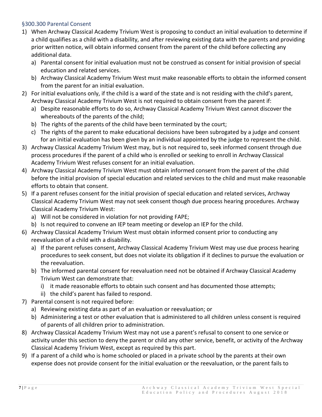#### <span id="page-7-0"></span>§300.300 Parental Consent

- 1) When Archway Classical Academy Trivium West is proposing to conduct an initial evaluation to determine if a child qualifies as a child with a disability, and after reviewing existing data with the parents and providing prior written notice, will obtain informed consent from the parent of the child before collecting any additional data.
	- a) Parental consent for initial evaluation must not be construed as consent for initial provision of special education and related services.
	- b) Archway Classical Academy Trivium West must make reasonable efforts to obtain the informed consent from the parent for an initial evaluation.
- 2) For initial evaluations only, if the child is a ward of the state and is not residing with the child's parent, Archway Classical Academy Trivium West is not required to obtain consent from the parent if:
	- a) Despite reasonable efforts to do so, Archway Classical Academy Trivium West cannot discover the whereabouts of the parents of the child;
	- b) The rights of the parents of the child have been terminated by the court;
	- c) The rights of the parent to make educational decisions have been subrogated by a judge and consent for an initial evaluation has been given by an individual appointed by the judge to represent the child.
- 3) Archway Classical Academy Trivium West may, but is not required to, seek informed consent through due process procedures if the parent of a child who is enrolled or seeking to enroll in Archway Classical Academy Trivium West refuses consent for an initial evaluation.
- 4) Archway Classical Academy Trivium West must obtain informed consent from the parent of the child before the initial provision of special education and related services to the child and must make reasonable efforts to obtain that consent.
- 5) If a parent refuses consent for the initial provision of special education and related services, Archway Classical Academy Trivium West may not seek consent though due process hearing procedures. Archway Classical Academy Trivium West:
	- a) Will not be considered in violation for not providing FAPE;
	- b) Is not required to convene an IEP team meeting or develop an IEP for the child.
- 6) Archway Classical Academy Trivium West must obtain informed consent prior to conducting any reevaluation of a child with a disability.
	- a) If the parent refuses consent, Archway Classical Academy Trivium West may use due process hearing procedures to seek consent, but does not violate its obligation if it declines to pursue the evaluation or the reevaluation.
	- b) The informed parental consent for reevaluation need not be obtained if Archway Classical Academy Trivium West can demonstrate that:
		- i) it made reasonable efforts to obtain such consent and has documented those attempts;
		- ii) the child's parent has failed to respond.
- 7) Parental consent is not required before:
	- a) Reviewing existing data as part of an evaluation or reevaluation; or
	- b) Administering a test or other evaluation that is administered to all children unless consent is required of parents of all children prior to administration.
- 8) Archway Classical Academy Trivium West may not use a parent's refusal to consent to one service or activity under this section to deny the parent or child any other service, benefit, or activity of the Archway Classical Academy Trivium West, except as required by this part.
- 9) If a parent of a child who is home schooled or placed in a private school by the parents at their own expense does not provide consent for the initial evaluation or the reevaluation, or the parent fails to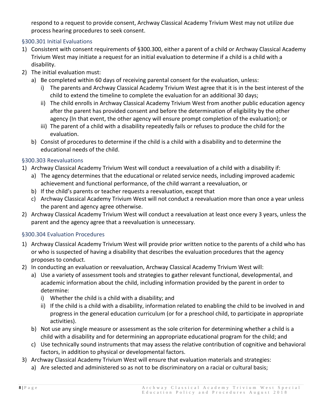respond to a request to provide consent, Archway Classical Academy Trivium West may not utilize due process hearing procedures to seek consent.

## <span id="page-8-0"></span>§300.301 Initial Evaluations

- 1) Consistent with consent requirements of §300.300, either a parent of a child or Archway Classical Academy Trivium West may initiate a request for an initial evaluation to determine if a child is a child with a disability.
- 2) The initial evaluation must:
	- a) Be completed within 60 days of receiving parental consent for the evaluation, unless:
		- i) The parents and Archway Classical Academy Trivium West agree that it is in the best interest of the child to extend the timeline to complete the evaluation for an additional 30 days;
		- ii) The child enrolls in Archway Classical Academy Trivium West from another public education agency after the parent has provided consent and before the determination of eligibility by the other agency (In that event, the other agency will ensure prompt completion of the evaluation); or
		- iii) The parent of a child with a disability repeatedly fails or refuses to produce the child for the evaluation.
	- b) Consist of procedures to determine if the child is a child with a disability and to determine the educational needs of the child.

#### <span id="page-8-1"></span>§300.303 Reevaluations

- 1) Archway Classical Academy Trivium West will conduct a reevaluation of a child with a disability if:
	- a) The agency determines that the educational or related service needs, including improved academic achievement and functional performance, of the child warrant a reevaluation, or
	- b) If the child's parents or teacher requests a reevaluation, except that
	- c) Archway Classical Academy Trivium West will not conduct a reevaluation more than once a year unless the parent and agency agree otherwise.
- 2) Archway Classical Academy Trivium West will conduct a reevaluation at least once every 3 years, unless the parent and the agency agree that a reevaluation is unnecessary.

# <span id="page-8-2"></span>§300.304 Evaluation Procedures

- 1) Archway Classical Academy Trivium West will provide prior written notice to the parents of a child who has or who is suspected of having a disability that describes the evaluation procedures that the agency proposes to conduct.
- 2) In conducting an evaluation or reevaluation, Archway Classical Academy Trivium West will:
	- a) Use a variety of assessment tools and strategies to gather relevant functional, developmental, and academic information about the child, including information provided by the parent in order to determine:
		- i) Whether the child is a child with a disability; and
		- ii) If the child is a child with a disability, information related to enabling the child to be involved in and progress in the general education curriculum (or for a preschool child, to participate in appropriate activities).
	- b) Not use any single measure or assessment as the sole criterion for determining whether a child is a child with a disability and for determining an appropriate educational program for the child; and
	- c) Use technically sound instruments that may assess the relative contribution of cognitive and behavioral factors, in addition to physical or developmental factors.
- 3) Archway Classical Academy Trivium West will ensure that evaluation materials and strategies:
	- a) Are selected and administered so as not to be discriminatory on a racial or cultural basis;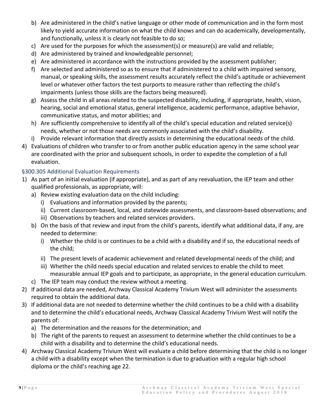- b) Are administered in the child's native language or other mode of communication and in the form most likely to yield accurate information on what the child knows and can do academically, developmentally, and functionally, unless it is clearly not feasible to do so;
- c) Are used for the purposes for which the assessment(s) or measure(s) are valid and reliable;
- d) Are administered by trained and knowledgeable personnel;
- e) Are administered in accordance with the instructions provided by the assessment publisher;
- f) Are selected and administered so as to ensure that if administered to a child with impaired sensory, manual, or speaking skills, the assessment results accurately reflect the child's aptitude or achievement level or whatever other factors the test purports to measure rather than reflecting the child's impairments (unless those skills are the factors being measured).
- g) Assess the child in all areas related to the suspected disability, including, if appropriate, health, vision, hearing, social and emotional status, general intelligence, academic performance, adaptive behavior, communicative status, and motor abilities; and
- h) Are sufficiently comprehensive to identify all of the child's special education and related service(s) needs, whether or not those needs are commonly associated with the child's disability.
- i) Provide relevant information that directly assists in determining the educational needs of the child.
- 4) Evaluations of children who transfer to or from another public education agency in the same school year are coordinated with the prior and subsequent schools, in order to expedite the completion of a full evaluation.

#### <span id="page-9-0"></span>§300.305 Additional Evaluation Requirements

- 1) As part of an initial evaluation (if appropriate), and as part of any reevaluation, the IEP team and other qualified professionals, as appropriate, will:
	- a) Review existing evaluation data on the child including:
		- i) Evaluations and information provided by the parents;
		- ii) Current classroom-based, local, and statewide assessments, and classroom-based observations; and
		- iii) Observations by teachers and related services providers.
	- b) On the basis of that review and input from the child's parents, identify what additional data, if any, are needed to determine:
		- i) Whether the child is or continues to be a child with a disability and if so, the educational needs of the child;
		- ii) The present levels of academic achievement and related developmental needs of the child; and
		- iii) Whether the child needs special education and related services to enable the child to meet measurable annual IEP goals and to participate, as appropriate, in the general education curriculum.
	- c) The IEP team may conduct the review without a meeting.
- 2) If additional data are needed, Archway Classical Academy Trivium West will administer the assessments required to obtain the additional data.
- 3) If additional data are not needed to determine whether the child continues to be a child with a disability and to determine the child's educational needs, Archway Classical Academy Trivium West will notify the parents of:
	- a) The determination and the reasons for the determination; and
	- b) The right of the parents to request an assessment to determine whether the child continues to be a child with a disability and to determine the child's educational needs.
- 4) Archway Classical Academy Trivium West will evaluate a child before determining that the child is no longer a child with a disability except when the termination is due to graduation with a regular high school diploma or the child's reaching age 22.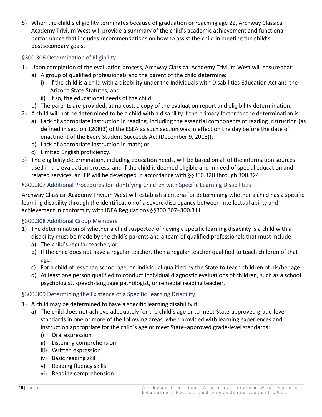5) When the child's eligibility terminates because of graduation or reaching age 22, Archway Classical Academy Trivium West will provide a summary of the child's academic achievement and functional performance that includes recommendations on how to assist the child in meeting the child's postsecondary goals.

# <span id="page-10-0"></span>§300.306 Determination of Eligibility

- 1) Upon completion of the evaluation process, Archway Classical Academy Trivium West will ensure that:
	- a) A group of qualified professionals and the parent of the child determine:
		- i) If the child is a child with a disability under the Individuals with Disabilities Education Act and the Arizona State Statutes; and
		- ii) If so, the educational needs of the child.
	- b) The parents are provided, at no cost, a copy of the evaluation report and eligibility determination.
- 2) A child will not be determined to be a child with a disability if the primary factor for the determination is:
	- a) Lack of appropriate instruction in reading, including the essential components of reading instruction (as defined in section 1208(3) of the ESEA as such section was in effect on the day before the date of enactment of the Every Student Succeeds Act (December 9, 2015));
	- b) Lack of appropriate instruction in math; or
	- c) Limited English proficiency.
- 3) The eligibility determination, including education needs, will be based on all of the information sources used in the evaluation process, and if the child is deemed eligible and in need of special education and related services, an IEP will be developed in accordance with §§300.320 through 300.324.

# <span id="page-10-1"></span>§300.307 Additional Procedures for Identifying Children with Specific Learning Disabilities

Archway Classical Academy Trivium West will establish a criteria for determining whether a child has a specific learning disability through the identification of a severe discrepancy between intellectual ability and achievement in conformity with IDEA Regulations §§300.307–300.311.

# <span id="page-10-2"></span>§300.308 Additional Group Members

- 1) The determination of whether a child suspected of having a specific learning disability is a child with a disability must be made by the child's parents and a team of qualified professionals that must include:
	- a) The child's regular teacher; or
	- b) If the child does not have a regular teacher, then a regular teacher qualified to teach children of that age;
	- c) For a child of less than school age, an individual qualified by the State to teach children of his/her age;
	- d) At least one person qualified to conduct individual diagnostic evaluations of children, such as a school psychologist, speech-language pathologist, or remedial reading teacher.

# <span id="page-10-3"></span>§300.309 Determining the Existence of a Specific Learning Disability

- 1) A child may be determined to have a specific learning disability if:
	- a) The child does not achieve adequately for the child's age or to meet State-approved grade-level standards in one or more of the following areas, when provided with learning experiences and instruction appropriate for the child's age or meet State–approved grade-level standards:
		- i) Oral expression
		- ii) Listening comprehension
		- iii) Written expression
		- iv) Basic reading skill
		- v) Reading fluency skills
		- vi) Reading comprehension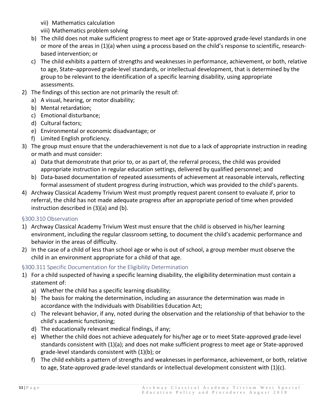- vii) Mathematics calculation
- viii) Mathematics problem solving
- b) The child does not make sufficient progress to meet age or State-approved grade-level standards in one or more of the areas in (1)(a) when using a process based on the child's response to scientific, researchbased intervention; or
- c) The child exhibits a pattern of strengths and weaknesses in performance, achievement, or both, relative to age, State–approved grade-level standards, or intellectual development, that is determined by the group to be relevant to the identification of a specific learning disability, using appropriate assessments.
- 2) The findings of this section are not primarily the result of:
	- a) A visual, hearing, or motor disability;
	- b) Mental retardation;
	- c) Emotional disturbance;
	- d) Cultural factors;
	- e) Environmental or economic disadvantage; or
	- f) Limited English proficiency.
- 3) The group must ensure that the underachievement is not due to a lack of appropriate instruction in reading or math and must consider:
	- a) Data that demonstrate that prior to, or as part of, the referral process, the child was provided appropriate instruction in regular education settings, delivered by qualified personnel; and
	- b) Data-based documentation of repeated assessments of achievement at reasonable intervals, reflecting formal assessment of student progress during instruction, which was provided to the child's parents.
- 4) Archway Classical Academy Trivium West must promptly request parent consent to evaluate if, prior to referral, the child has not made adequate progress after an appropriate period of time when provided instruction described in (3)(a) and (b).

#### <span id="page-11-0"></span>§300.310 Observation

- 1) Archway Classical Academy Trivium West must ensure that the child is observed in his/her learning environment, including the regular classroom setting, to document the child's academic performance and behavior in the areas of difficulty.
- 2) In the case of a child of less than school age or who is out of school, a group member must observe the child in an environment appropriate for a child of that age.

# <span id="page-11-1"></span>§300.311 Specific Documentation for the Eligibility Determination

- 1) For a child suspected of having a specific learning disability, the eligibility determination must contain a statement of:
	- a) Whether the child has a specific learning disability;
	- b) The basis for making the determination, including an assurance the determination was made in accordance with the Individuals with Disabilities Education Act;
	- c) The relevant behavior, if any, noted during the observation and the relationship of that behavior to the child's academic functioning;
	- d) The educationally relevant medical findings, if any;
	- e) Whether the child does not achieve adequately for his/her age or to meet State-approved grade-level standards consistent with (1)(a); and does not make sufficient progress to meet age or State-approved grade-level standards consistent with (1)(b); or
	- f) The child exhibits a pattern of strengths and weaknesses in performance, achievement, or both, relative to age, State-approved grade-level standards or intellectual development consistent with (1)(c).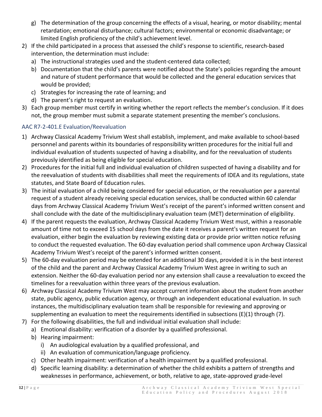- g) The determination of the group concerning the effects of a visual, hearing, or motor disability; mental retardation; emotional disturbance; cultural factors; environmental or economic disadvantage; or limited English proficiency of the child's achievement level.
- 2) If the child participated in a process that assessed the child's response to scientific, research-based intervention, the determination must include:
	- a) The instructional strategies used and the student-centered data collected;
	- b) Documentation that the child's parents were notified about the State's policies regarding the amount and nature of student performance that would be collected and the general education services that would be provided;
	- c) Strategies for increasing the rate of learning; and
	- d) The parent's right to request an evaluation.
- 3) Each group member must certify in writing whether the report reflects the member's conclusion. If it does not, the group member must submit a separate statement presenting the member's conclusions.

# <span id="page-12-0"></span>AAC R7-2-401.E Evaluation/Reevaluation

- 1) Archway Classical Academy Trivium West shall establish, implement, and make available to school-based personnel and parents within its boundaries of responsibility written procedures for the initial full and individual evaluation of students suspected of having a disability, and for the reevaluation of students previously identified as being eligible for special education.
- 2) Procedures for the initial full and individual evaluation of children suspected of having a disability and for the reevaluation of students with disabilities shall meet the requirements of IDEA and its regulations, state statutes, and State Board of Education rules.
- 3) The initial evaluation of a child being considered for special education, or the reevaluation per a parental request of a student already receiving special education services, shall be conducted within 60 calendar days from Archway Classical Academy Trivium West's receipt of the parent's informed written consent and shall conclude with the date of the multidisciplinary evaluation team (MET) determination of eligibility.
- 4) If the parent requests the evaluation, Archway Classical Academy Trivium West must, within a reasonable amount of time not to exceed 15 school days from the date it receives a parent's written request for an evaluation, either begin the evaluation by reviewing existing data or provide prior written notice refusing to conduct the requested evaluation. The 60-day evaluation period shall commence upon Archway Classical Academy Trivium West's receipt of the parent's informed written consent.
- 5) The 60-day evaluation period may be extended for an additional 30 days, provided it is in the best interest of the child and the parent and Archway Classical Academy Trivium West agree in writing to such an extension. Neither the 60-day evaluation period nor any extension shall cause a reevaluation to exceed the timelines for a reevaluation within three years of the previous evaluation.
- 6) Archway Classical Academy Trivium West may accept current information about the student from another state, public agency, public education agency, or through an independent educational evaluation. In such instances, the multidisciplinary evaluation team shall be responsible for reviewing and approving or supplementing an evaluation to meet the requirements identified in subsections  $(E)(1)$  through  $(7)$ .
- 7) For the following disabilities, the full and individual initial evaluation shall include:
	- a) Emotional disability: verification of a disorder by a qualified professional.
	- b) Hearing impairment:
		- i) An audiological evaluation by a qualified professional, and
		- ii) An evaluation of communication/language proficiency.
	- c) Other health impairment: verification of a health impairment by a qualified professional.
	- d) Specific learning disability: a determination of whether the child exhibits a pattern of strengths and weaknesses in performance, achievement, or both, relative to age, state-approved grade-level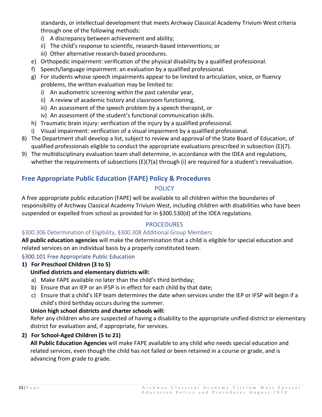standards, or intellectual development that meets Archway Classical Academy Trivium West criteria through one of the following methods:

- i) A discrepancy between achievement and ability;
- ii) The child's response to scientific, research-based interventions; or
- iii) Other alternative research-based procedures.
- e) Orthopedic impairment: verification of the physical disability by a qualified professional.
- f) Speech/language impairment: an evaluation by a qualified professional.
- g) For students whose speech impairments appear to be limited to articulation, voice, or fluency problems, the written evaluation may be limited to:
	- i) An audiometric screening within the past calendar year,
	- ii) A review of academic history and classroom functioning,
	- iii) An assessment of the speech problem by a speech therapist, or
	- iv) An assessment of the student's functional communication skills.
- h) Traumatic brain injury: verification of the injury by a qualified professional.
- i) Visual impairment: verification of a visual impairment by a qualified professional.
- 8) The Department shall develop a list, subject to review and approval of the State Board of Education, of qualified professionals eligible to conduct the appropriate evaluations prescribed in subsection (E)(7).
- 9) The multidisciplinary evaluation team shall determine, in accordance with the IDEA and regulations, whether the requirements of subsections (E)(7(a) through (i) are required for a student's reevaluation.

# <span id="page-13-1"></span><span id="page-13-0"></span>**Free Appropriate Public Education (FAPE) Policy & Procedures**

# POLICY

A free appropriate public education (FAPE) will be available to all children within the boundaries of responsibility of Archway Classical Academy Trivium West, including children with disabilities who have been suspended or expelled from school as provided for in §300.530(d) of the IDEA regulations.

# **PROCEDURES**

#### <span id="page-13-3"></span><span id="page-13-2"></span>§300.306 Determination of Eligibility, §300.308 Additional Group Members

**All public education agencies** will make the determination that a child is eligible for special education and related services on an individual basis by a properly constituted team.

#### <span id="page-13-4"></span>§300.101 Free Appropriate Public Education

# **1) For Preschool Children (3 to 5)**

#### **Unified districts and elementary districts will:**

- a) Make FAPE available no later than the child's third birthday;
- b) Ensure that an IEP or an IFSP is in effect for each child by that date;
- c) Ensure that a child's IEP team determines the date when services under the IEP or IFSP will begin if a child's third birthday occurs during the summer.

#### **Union high school districts and charter schools will:**

Refer any children who are suspected of having a disability to the appropriate unified district or elementary district for evaluation and, if appropriate, for services.

# **2) For School-Aged Children (5 to 21)**

**All Public Education Agencies** will make FAPE available to any child who needs special education and related services, even though the child has not failed or been retained in a course or grade, and is advancing from grade to grade.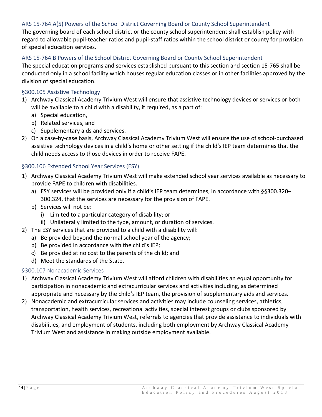#### <span id="page-14-0"></span>ARS 15-764.A(5) Powers of the School District Governing Board or County School Superintendent

The governing board of each school district or the county school superintendent shall establish policy with regard to allowable pupil-teacher ratios and pupil-staff ratios within the school district or county for provision of special education services.

#### <span id="page-14-1"></span>ARS 15-764.B Powers of the School District Governing Board or County School Superintendent

The special education programs and services established pursuant to this section and section 15-765 shall be conducted only in a school facility which houses regular education classes or in other facilities approved by the division of special education.

#### <span id="page-14-2"></span>§300.105 Assistive Technology

- 1) Archway Classical Academy Trivium West will ensure that assistive technology devices or services or both will be available to a child with a disability, if required, as a part of:
	- a) Special education,
	- b) Related services, and
	- c) Supplementary aids and services.
- 2) On a case-by-case basis, Archway Classical Academy Trivium West will ensure the use of school-purchased assistive technology devices in a child's home or other setting if the child's IEP team determines that the child needs access to those devices in order to receive FAPE.

#### <span id="page-14-3"></span>§300.106 Extended School Year Services (ESY)

- 1) Archway Classical Academy Trivium West will make extended school year services available as necessary to provide FAPE to children with disabilities.
	- a) ESY services will be provided only if a child's IEP team determines, in accordance with §§300.320– 300.324, that the services are necessary for the provision of FAPE.
	- b) Services will not be:
		- i) Limited to a particular category of disability; or
		- ii) Unilaterally limited to the type, amount, or duration of services.
- 2) The ESY services that are provided to a child with a disability will:
	- a) Be provided beyond the normal school year of the agency;
	- b) Be provided in accordance with the child's IEP;
	- c) Be provided at no cost to the parents of the child; and
	- d) Meet the standards of the State.

#### <span id="page-14-4"></span>§300.107 Nonacademic Services

- 1) Archway Classical Academy Trivium West will afford children with disabilities an equal opportunity for participation in nonacademic and extracurricular services and activities including, as determined appropriate and necessary by the child's IEP team, the provision of supplementary aids and services.
- 2) Nonacademic and extracurricular services and activities may include counseling services, athletics, transportation, health services, recreational activities, special interest groups or clubs sponsored by Archway Classical Academy Trivium West, referrals to agencies that provide assistance to individuals with disabilities, and employment of students, including both employment by Archway Classical Academy Trivium West and assistance in making outside employment available.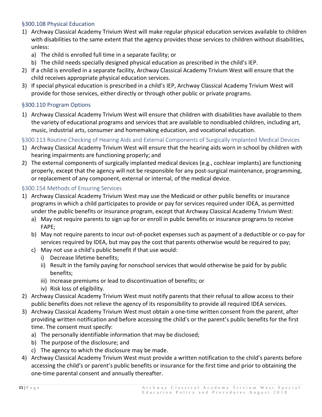## <span id="page-15-0"></span>§300.108 Physical Education

- 1) Archway Classical Academy Trivium West will make regular physical education services available to children with disabilities to the same extent that the agency provides those services to children without disabilities, unless:
	- a) The child is enrolled full time in a separate facility; or
	- b) The child needs specially designed physical education as prescribed in the child's IEP.
- 2) If a child is enrolled in a separate facility, Archway Classical Academy Trivium West will ensure that the child receives appropriate physical education services.
- 3) If special physical education is prescribed in a child's IEP, Archway Classical Academy Trivium West will provide for those services, either directly or through other public or private programs.

## <span id="page-15-1"></span>§300.110 Program Options

1) Archway Classical Academy Trivium West will ensure that children with disabilities have available to them the variety of educational programs and services that are available to nondisabled children, including art, music, industrial arts, consumer and homemaking education, and vocational education.

<span id="page-15-2"></span>§300.113 Routine Checking of Hearing Aids and External Components of Surgically Implanted Medical Devices

- 1) Archway Classical Academy Trivium West will ensure that the hearing aids worn in school by children with hearing impairments are functioning properly; and
- 2) The external components of surgically implanted medical devices (e.g., cochlear implants) are functioning properly, except that the agency will not be responsible for any post-surgical maintenance, programming, or replacement of any component, external or internal, of the medical device.

#### <span id="page-15-3"></span>§300.154 Methods of Ensuring Services

- 1) Archway Classical Academy Trivium West may use the Medicaid or other public benefits or insurance programs in which a child participates to provide or pay for services required under IDEA, as permitted under the public benefits or insurance program, except that Archway Classical Academy Trivium West:
	- a) May not require parents to sign up for or enroll in public benefits or insurance programs to receive FAPE;
	- b) May not require parents to incur out-of-pocket expenses such as payment of a deductible or co-pay for services required by IDEA, but may pay the cost that parents otherwise would be required to pay;
	- c) May not use a child's public benefit if that use would:
		- i) Decrease lifetime benefits;
		- ii) Result in the family paying for nonschool services that would otherwise be paid for by public benefits;
		- iii) Increase premiums or lead to discontinuation of benefits; or
		- iv) Risk loss of eligibility.
- 2) Archway Classical Academy Trivium West must notify parents that their refusal to allow access to their public benefits does not relieve the agency of its responsibility to provide all required IDEA services.
- 3) Archway Classical Academy Trivium West must obtain a one-time written consent from the parent, after providing written notification and before accessing the child's or the parent's public benefits for the first time. The consent must specify:
	- a) The personally identifiable information that may be disclosed;
	- b) The purpose of the disclosure; and
	- c) The agency to which the disclosure may be made.
- 4) Archway Classical Academy Trivium West must provide a written notification to the child's parents before accessing the child's or parent's public benefits or insurance for the first time and prior to obtaining the one-time parental consent and annually thereafter.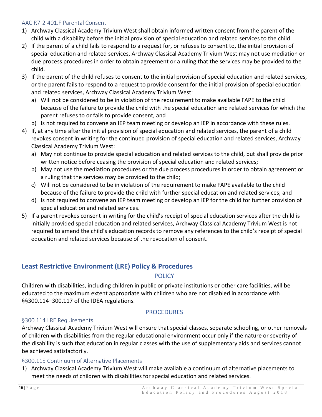## <span id="page-16-0"></span>AAC R7-2-401.F Parental Consent

- 1) Archway Classical Academy Trivium West shall obtain informed written consent from the parent of the child with a disability before the initial provision of special education and related services to the child.
- 2) If the parent of a child fails to respond to a request for, or refuses to consent to, the initial provision of special education and related services, Archway Classical Academy Trivium West may not use mediation or due process procedures in order to obtain agreement or a ruling that the services may be provided to the child.
- 3) If the parent of the child refuses to consent to the initial provision of special education and related services, or the parent fails to respond to a request to provide consent for the initial provision of special education and related services, Archway Classical Academy Trivium West:
	- a) Will not be considered to be in violation of the requirement to make available FAPE to the child because of the failure to provide the child with the special education and related services for which the parent refuses to or fails to provide consent, and
	- b) Is not required to convene an IEP team meeting or develop an IEP in accordance with these rules.
- 4) If, at any time after the initial provision of special education and related services, the parent of a child revokes consent in writing for the continued provision of special education and related services, Archway Classical Academy Trivium West:
	- a) May not continue to provide special education and related services to the child, but shall provide prior written notice before ceasing the provision of special education and related services;
	- b) May not use the mediation procedures or the due process procedures in order to obtain agreement or a ruling that the services may be provided to the child;
	- c) Will not be considered to be in violation of the requirement to make FAPE available to the child because of the failure to provide the child with further special education and related services; and
	- d) Is not required to convene an IEP team meeting or develop an IEP for the child for further provision of special education and related services.
- 5) If a parent revokes consent in writing for the child's receipt of special education services after the child is initially provided special education and related services, Archway Classical Academy Trivium West is not required to amend the child's education records to remove any references to the child's receipt of special education and related services because of the revocation of consent.

# <span id="page-16-2"></span><span id="page-16-1"></span>**Least Restrictive Environment (LRE) Policy & Procedures**

# POLICY

Children with disabilities, including children in public or private institutions or other care facilities, will be educated to the maximum extent appropriate with children who are not disabled in accordance with §§300.114–300.117 of the IDEA regulations.

# PROCEDURES

# <span id="page-16-4"></span><span id="page-16-3"></span>§300.114 LRE Requirements

Archway Classical Academy Trivium West will ensure that special classes, separate schooling, or other removals of children with disabilities from the regular educational environment occur only if the nature or severity of the disability is such that education in regular classes with the use of supplementary aids and services cannot be achieved satisfactorily.

# <span id="page-16-5"></span>§300.115 Continuum of Alternative Placements

1) Archway Classical Academy Trivium West will make available a continuum of alternative placements to meet the needs of children with disabilities for special education and related services.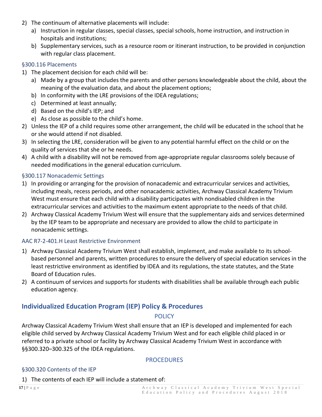- 2) The continuum of alternative placements will include:
	- a) Instruction in regular classes, special classes, special schools, home instruction, and instruction in hospitals and institutions;
	- b) Supplementary services, such as a resource room or itinerant instruction, to be provided in conjunction with regular class placement.

#### <span id="page-17-0"></span>§300.116 Placements

- 1) The placement decision for each child will be:
	- a) Made by a group that includes the parents and other persons knowledgeable about the child, about the meaning of the evaluation data, and about the placement options;
	- b) In conformity with the LRE provisions of the IDEA regulations;
	- c) Determined at least annually;
	- d) Based on the child's IEP; and
	- e) As close as possible to the child's home.
- 2) Unless the IEP of a child requires some other arrangement, the child will be educated in the school that he or she would attend if not disabled.
- 3) In selecting the LRE, consideration will be given to any potential harmful effect on the child or on the quality of services that she or he needs.
- 4) A child with a disability will not be removed from age-appropriate regular classrooms solely because of needed modifications in the general education curriculum.

## <span id="page-17-1"></span>§300.117 Nonacademic Settings

- 1) In providing or arranging for the provision of nonacademic and extracurricular services and activities, including meals, recess periods, and other nonacademic activities, Archway Classical Academy Trivium West must ensure that each child with a disability participates with nondisabled children in the extracurricular services and activities to the maximum extent appropriate to the needs of that child.
- 2) Archway Classical Academy Trivium West will ensure that the supplementary aids and services determined by the IEP team to be appropriate and necessary are provided to allow the child to participate in nonacademic settings.

#### <span id="page-17-2"></span>AAC R7-2-401.H Least Restrictive Environment

- 1) Archway Classical Academy Trivium West shall establish, implement, and make available to its schoolbased personnel and parents, written procedures to ensure the delivery of special education services in the least restrictive environment as identified by IDEA and its regulations, the state statutes, and the State Board of Education rules.
- 2) A continuum of services and supports for students with disabilities shall be available through each public education agency.

# <span id="page-17-4"></span><span id="page-17-3"></span>**Individualized Education Program (IEP) Policy & Procedures**

#### **POLICY**

Archway Classical Academy Trivium West shall ensure that an IEP is developed and implemented for each eligible child served by Archway Classical Academy Trivium West and for each eligible child placed in or referred to a private school or facility by Archway Classical Academy Trivium West in accordance with §§300.320–300.325 of the IDEA regulations.

#### **PROCEDURES**

#### <span id="page-17-6"></span><span id="page-17-5"></span>§300.320 Contents of the IEP

1) The contents of each IEP will include a statement of: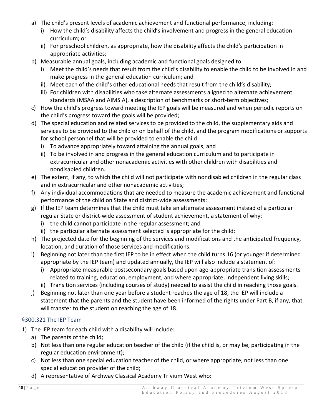- a) The child's present levels of academic achievement and functional performance, including:
	- i) How the child's disability affects the child's involvement and progress in the general education curriculum; or
	- ii) For preschool children, as appropriate, how the disability affects the child's participation in appropriate activities;
- b) Measurable annual goals, including academic and functional goals designed to:
	- i) Meet the child's needs that result from the child's disability to enable the child to be involved in and make progress in the general education curriculum; and
	- ii) Meet each of the child's other educational needs that result from the child's disability;
	- iii) For children with disabilities who take alternate assessments aligned to alternate achievement standards (MSAA and AIMS A), a description of benchmarks or short-term objectives;
- c) How the child's progress toward meeting the IEP goals will be measured and when periodic reports on the child's progress toward the goals will be provided;
- d) The special education and related services to be provided to the child, the supplementary aids and services to be provided to the child or on behalf of the child, and the program modifications or supports for school personnel that will be provided to enable the child:
	- i) To advance appropriately toward attaining the annual goals; and
	- ii) To be involved in and progress in the general education curriculum and to participate in extracurricular and other nonacademic activities with other children with disabilities and nondisabled children.
- e) The extent, if any, to which the child will not participate with nondisabled children in the regular class and in extracurricular and other nonacademic activities;
- f) Any individual accommodations that are needed to measure the academic achievement and functional performance of the child on State and district-wide assessments;
- g) If the IEP team determines that the child must take an alternate assessment instead of a particular regular State or district-wide assessment of student achievement, a statement of why:
	- i) the child cannot participate in the regular assessment; and
	- ii) the particular alternate assessment selected is appropriate for the child;
- h) The projected date for the beginning of the services and modifications and the anticipated frequency, location, and duration of those services and modifications.
- i) Beginning not later than the first IEP to be in effect when the child turns 16 (or younger if determined appropriate by the IEP team) and updated annually, the IEP will also include a statement of:
	- i) Appropriate measurable postsecondary goals based upon age-appropriate transition assessments related to training, education, employment, and where appropriate, independent living skills;
	- ii) Transition services (including courses of study) needed to assist the child in reaching those goals.
- j) Beginning not later than one year before a student reaches the age of 18, the IEP will include a statement that the parents and the student have been informed of the rights under Part B, if any, that will transfer to the student on reaching the age of 18.

# <span id="page-18-0"></span>§300.321 The IEP Team

- 1) The IEP team for each child with a disability will include:
	- a) The parents of the child;
	- b) Not less than one regular education teacher of the child (if the child is, or may be, participating in the regular education environment);
	- c) Not less than one special education teacher of the child, or where appropriate, not less than one special education provider of the child;
	- d) A representative of Archway Classical Academy Trivium West who: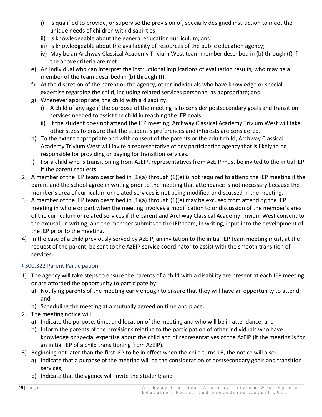- i) Is qualified to provide, or supervise the provision of, specially designed instruction to meet the unique needs of children with disabilities;
- ii) Is knowledgeable about the general education curriculum; and
- iii) Is knowledgeable about the availability of resources of the public education agency;
- iv) May be an Archway Classical Academy Trivium West team member described in (b) through (f) if the above criteria are met.
- e) An individual who can interpret the instructional implications of evaluation results, who may be a member of the team described in (b) through (f).
- f) At the discretion of the parent or the agency, other individuals who have knowledge or special expertise regarding the child, including related services personnel as appropriate; and
- g) Whenever appropriate, the child with a disability.
	- i) A child of any age if the purpose of the meeting is to consider postsecondary goals and transition services needed to assist the child in reaching the IEP goals.
	- ii) If the student does not attend the IEP meeting, Archway Classical Academy Trivium West will take other steps to ensure that the student's preferences and interests are considered.
- h) To the extent appropriate and with consent of the parents or the adult child, Archway Classical Academy Trivium West will invite a representative of any participating agency that is likely to be responsible for providing or paying for transition services.
- i) For a child who is transitioning from AzEIP, representatives from AzEIP must be invited to the initial IEP if the parent requests.
- 2) A member of the IEP team described in (1)(a) through (1)(e) is not required to attend the IEP meeting if the parent and the school agree in writing prior to the meeting that attendance is not necessary because the member's area of curriculum or related services is not being modified or discussed in the meeting.
- 3) A member of the IEP team described in (1)(a) through (1)(e) may be excused from attending the IEP meeting in whole or part when the meeting involves a modification to or discussion of the member's area of the curriculum or related services if the parent and Archway Classical Academy Trivium West consent to the excusal, in writing, and the member submits to the IEP team, in writing, input into the development of the IEP prior to the meeting.
- 4) In the case of a child previously served by AzEIP, an invitation to the initial IEP team meeting must, at the request of the parent, be sent to the AzEIP service coordinator to assist with the smooth transition of services.

# <span id="page-19-0"></span>§300.322 Parent Participation

- 1) The agency will take steps to ensure the parents of a child with a disability are present at each IEP meeting or are afforded the opportunity to participate by:
	- a) Notifying parents of the meeting early enough to ensure that they will have an opportunity to attend; and
	- b) Scheduling the meeting at a mutually agreed on time and place.
- 2) The meeting notice will:
	- a) Indicate the purpose, time, and location of the meeting and who will be in attendance; and
	- b) Inform the parents of the provisions relating to the participation of other individuals who have knowledge or special expertise about the child and of representatives of the AzEIP (if the meeting is for an initial IEP of a child transitioning from AzEIP).
- 3) Beginning not later than the first IEP to be in effect when the child turns 16, the notice will also:
	- a) Indicate that a purpose of the meeting will be the consideration of postsecondary goals and transition services;
	- b) Indicate that the agency will invite the student; and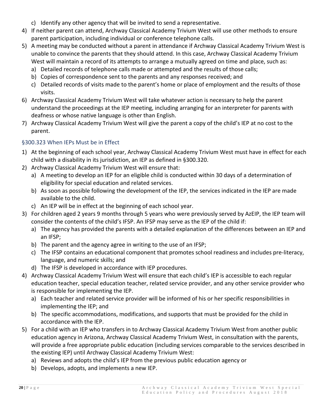- c) Identify any other agency that will be invited to send a representative.
- 4) If neither parent can attend, Archway Classical Academy Trivium West will use other methods to ensure parent participation, including individual or conference telephone calls.
- 5) A meeting may be conducted without a parent in attendance if Archway Classical Academy Trivium West is unable to convince the parents that they should attend. In this case, Archway Classical Academy Trivium West will maintain a record of its attempts to arrange a mutually agreed on time and place, such as:
	- a) Detailed records of telephone calls made or attempted and the results of those calls;
	- b) Copies of correspondence sent to the parents and any responses received; and
	- c) Detailed records of visits made to the parent's home or place of employment and the results of those visits.
- 6) Archway Classical Academy Trivium West will take whatever action is necessary to help the parent understand the proceedings at the IEP meeting, including arranging for an interpreter for parents with deafness or whose native language is other than English.
- 7) Archway Classical Academy Trivium West will give the parent a copy of the child's IEP at no cost to the parent.

# <span id="page-20-0"></span>§300.323 When IEPs Must be in Effect

- 1) At the beginning of each school year, Archway Classical Academy Trivium West must have in effect for each child with a disability in its jurisdiction, an IEP as defined in §300.320.
- 2) Archway Classical Academy Trivium West will ensure that:
	- a) A meeting to develop an IEP for an eligible child is conducted within 30 days of a determination of eligibility for special education and related services.
	- b) As soon as possible following the development of the IEP, the services indicated in the IEP are made available to the child.
	- c) An IEP will be in effect at the beginning of each school year.
- 3) For children aged 2 years 9 months through 5 years who were previously served by AzEIP, the IEP team will consider the contents of the child's IFSP. An IFSP may serve as the IEP of the child if:
	- a) The agency has provided the parents with a detailed explanation of the differences between an IEP and an IFSP;
	- b) The parent and the agency agree in writing to the use of an IFSP;
	- c) The IFSP contains an educational component that promotes school readiness and includes pre-literacy, language, and numeric skills; and
	- d) The IFSP is developed in accordance with IEP procedures.
- 4) Archway Classical Academy Trivium West will ensure that each child's IEP is accessible to each regular education teacher, special education teacher, related service provider, and any other service provider who is responsible for implementing the IEP.
	- a) Each teacher and related service provider will be informed of his or her specific responsibilities in implementing the IEP; and
	- b) The specific accommodations, modifications, and supports that must be provided for the child in accordance with the IEP.
- 5) For a child with an IEP who transfers in to Archway Classical Academy Trivium West from another public education agency in Arizona, Archway Classical Academy Trivium West, in consultation with the parents, will provide a free appropriate public education (including services comparable to the services described in the existing IEP) until Archway Classical Academy Trivium West:
	- a) Reviews and adopts the child's IEP from the previous public education agency or
	- b) Develops, adopts, and implements a new IEP.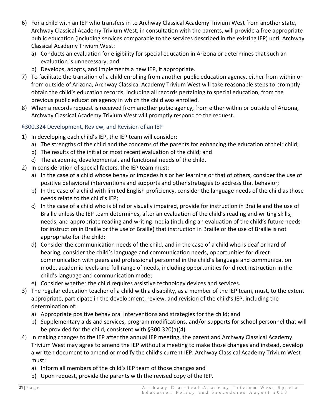- 6) For a child with an IEP who transfers in to Archway Classical Academy Trivium West from another state, Archway Classical Academy Trivium West, in consultation with the parents, will provide a free appropriate public education (including services comparable to the services described in the existing IEP) until Archway Classical Academy Trivium West:
	- a) Conducts an evaluation for eligibility for special education in Arizona or determines that such an evaluation is unnecessary; and
	- b) Develops, adopts, and implements a new IEP, if appropriate.
- 7) To facilitate the transition of a child enrolling from another public education agency, either from within or from outside of Arizona, Archway Classical Academy Trivium West will take reasonable steps to promptly obtain the child's education records, including all records pertaining to special education, from the previous public education agency in which the child was enrolled.
- 8) When a records request is received from another pubic agency, from either within or outside of Arizona, Archway Classical Academy Trivium West will promptly respond to the request.

# <span id="page-21-0"></span>§300.324 Development, Review, and Revision of an IEP

- 1) In developing each child's IEP, the IEP team will consider:
	- a) The strengths of the child and the concerns of the parents for enhancing the education of their child;
	- b) The results of the initial or most recent evaluation of the child; and
	- c) The academic, developmental, and functional needs of the child.
- 2) In consideration of special factors, the IEP team must:
	- a) In the case of a child whose behavior impedes his or her learning or that of others, consider the use of positive behavioral interventions and supports and other strategies to address that behavior;
	- b) In the case of a child with limited English proficiency, consider the language needs of the child as those needs relate to the child's IEP;
	- c) In the case of a child who is blind or visually impaired, provide for instruction in Braille and the use of Braille unless the IEP team determines, after an evaluation of the child's reading and writing skills, needs, and appropriate reading and writing media (including an evaluation of the child's future needs for instruction in Braille or the use of Braille) that instruction in Braille or the use of Braille is not appropriate for the child;
	- d) Consider the communication needs of the child, and in the case of a child who is deaf or hard of hearing, consider the child's language and communication needs, opportunities for direct communication with peers and professional personnel in the child's language and communication mode, academic levels and full range of needs, including opportunities for direct instruction in the child's language and communication mode;
	- e) Consider whether the child requires assistive technology devices and services.
- 3) The regular education teacher of a child with a disability, as a member of the IEP team, must, to the extent appropriate, participate in the development, review, and revision of the child's IEP, including the determination of:
	- a) Appropriate positive behavioral interventions and strategies for the child; and
	- b) Supplementary aids and services, program modifications, and/or supports for school personnel that will be provided for the child, consistent with §300.320(a)(4).
- 4) In making changes to the IEP after the annual IEP meeting, the parent and Archway Classical Academy Trivium West may agree to amend the IEP without a meeting to make those changes and instead, develop a written document to amend or modify the child's current IEP. Archway Classical Academy Trivium West must:
	- a) Inform all members of the child's IEP team of those changes and
	- b) Upon request, provide the parents with the revised copy of the IEP.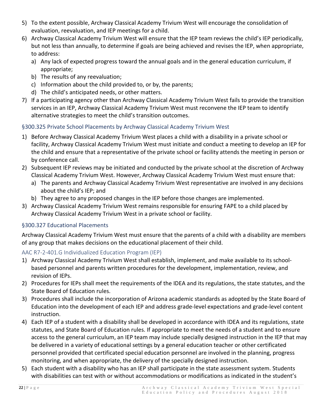- 5) To the extent possible, Archway Classical Academy Trivium West will encourage the consolidation of evaluation, reevaluation, and IEP meetings for a child.
- 6) Archway Classical Academy Trivium West will ensure that the IEP team reviews the child's IEP periodically, but not less than annually, to determine if goals are being achieved and revises the IEP, when appropriate, to address:
	- a) Any lack of expected progress toward the annual goals and in the general education curriculum, if appropriate;
	- b) The results of any reevaluation;
	- c) Information about the child provided to, or by, the parents;
	- d) The child's anticipated needs, or other matters.
- 7) If a participating agency other than Archway Classical Academy Trivium West fails to provide the transition services in an IEP, Archway Classical Academy Trivium West must reconvene the IEP team to identify alternative strategies to meet the child's transition outcomes.

# <span id="page-22-0"></span>§300.325 Private School Placements by Archway Classical Academy Trivium West

- 1) Before Archway Classical Academy Trivium West places a child with a disability in a private school or facility, Archway Classical Academy Trivium West must initiate and conduct a meeting to develop an IEP for the child and ensure that a representative of the private school or facility attends the meeting in person or by conference call.
- 2) Subsequent IEP reviews may be initiated and conducted by the private school at the discretion of Archway Classical Academy Trivium West. However, Archway Classical Academy Trivium West must ensure that:
	- a) The parents and Archway Classical Academy Trivium West representative are involved in any decisions about the child's IEP; and
	- b) They agree to any proposed changes in the IEP before those changes are implemented.
- 3) Archway Classical Academy Trivium West remains responsible for ensuring FAPE to a child placed by Archway Classical Academy Trivium West in a private school or facility.

# <span id="page-22-1"></span>§300.327 Educational Placements

Archway Classical Academy Trivium West must ensure that the parents of a child with a disability are members of any group that makes decisions on the educational placement of their child.

# <span id="page-22-2"></span>AAC R7-2-401.G Individualized Education Program (IEP)

- 1) Archway Classical Academy Trivium West shall establish, implement, and make available to its schoolbased personnel and parents written procedures for the development, implementation, review, and revision of IEPs.
- 2) Procedures for IEPs shall meet the requirements of the IDEA and its regulations, the state statutes, and the State Board of Education rules.
- 3) Procedures shall include the incorporation of Arizona academic standards as adopted by the State Board of Education into the development of each IEP and address grade-level expectations and grade-level content instruction.
- 4) Each IEP of a student with a disability shall be developed in accordance with IDEA and its regulations, state statutes, and State Board of Education rules. If appropriate to meet the needs of a student and to ensure access to the general curriculum, an IEP team may include specially designed instruction in the IEP that may be delivered in a variety of educational settings by a general education teacher or other certificated personnel provided that certificated special education personnel are involved in the planning, progress monitoring, and when appropriate, the delivery of the specially designed instruction.
- 5) Each student with a disability who has an IEP shall participate in the state assessment system. Students with disabilities can test with or without accommodations or modifications as indicated in the student's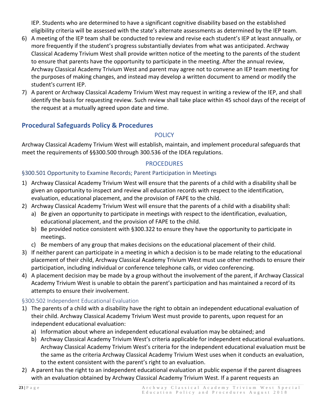IEP. Students who are determined to have a significant cognitive disability based on the established eligibility criteria will be assessed with the state's alternate assessments as determined by the IEP team.

- 6) A meeting of the IEP team shall be conducted to review and revise each student's IEP at least annually, or more frequently if the student's progress substantially deviates from what was anticipated. Archway Classical Academy Trivium West shall provide written notice of the meeting to the parents of the student to ensure that parents have the opportunity to participate in the meeting. After the annual review, Archway Classical Academy Trivium West and parent may agree not to convene an IEP team meeting for the purposes of making changes, and instead may develop a written document to amend or modify the student's current IEP.
- 7) A parent or Archway Classical Academy Trivium West may request in writing a review of the IEP, and shall identify the basis for requesting review. Such review shall take place within 45 school days of the receipt of the request at a mutually agreed upon date and time.

# <span id="page-23-1"></span><span id="page-23-0"></span>**Procedural Safeguards Policy & Procedures**

#### **POLICY**

Archway Classical Academy Trivium West will establish, maintain, and implement procedural safeguards that meet the requirements of §§300.500 through 300.536 of the IDEA regulations.

## PROCEDURES

## <span id="page-23-3"></span><span id="page-23-2"></span>§300.501 Opportunity to Examine Records; Parent Participation in Meetings

- 1) Archway Classical Academy Trivium West will ensure that the parents of a child with a disability shall be given an opportunity to inspect and review all education records with respect to the identification, evaluation, educational placement, and the provision of FAPE to the child.
- 2) Archway Classical Academy Trivium West will ensure that the parents of a child with a disability shall:
	- a) Be given an opportunity to participate in meetings with respect to the identification, evaluation, educational placement, and the provision of FAPE to the child.
	- b) Be provided notice consistent with §300.322 to ensure they have the opportunity to participate in meetings.
	- c) Be members of any group that makes decisions on the educational placement of their child.
- 3) If neither parent can participate in a meeting in which a decision is to be made relating to the educational placement of their child, Archway Classical Academy Trivium West must use other methods to ensure their participation, including individual or conference telephone calls, or video conferencing.
- 4) A placement decision may be made by a group without the involvement of the parent, if Archway Classical Academy Trivium West is unable to obtain the parent's participation and has maintained a record of its attempts to ensure their involvement.

# <span id="page-23-4"></span>§300.502 Independent Educational Evaluation

- 1) The parents of a child with a disability have the right to obtain an independent educational evaluation of their child. Archway Classical Academy Trivium West must provide to parents, upon request for an independent educational evaluation:
	- a) Information about where an independent educational evaluation may be obtained; and
	- b) Archway Classical Academy Trivium West's criteria applicable for independent educational evaluations. Archway Classical Academy Trivium West's criteria for the independent educational evaluation must be the same as the criteria Archway Classical Academy Trivium West uses when it conducts an evaluation, to the extent consistent with the parent's right to an evaluation.
- 2) A parent has the right to an independent educational evaluation at public expense if the parent disagrees with an evaluation obtained by Archway Classical Academy Trivium West. If a parent requests an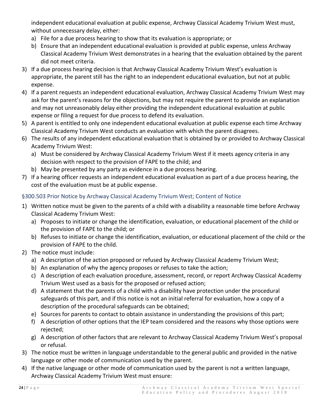independent educational evaluation at public expense, Archway Classical Academy Trivium West must, without unnecessary delay, either:

- a) File for a due process hearing to show that its evaluation is appropriate; or
- b) Ensure that an independent educational evaluation is provided at public expense, unless Archway Classical Academy Trivium West demonstrates in a hearing that the evaluation obtained by the parent did not meet criteria.
- 3) If a due process hearing decision is that Archway Classical Academy Trivium West's evaluation is appropriate, the parent still has the right to an independent educational evaluation, but not at public expense.
- 4) If a parent requests an independent educational evaluation, Archway Classical Academy Trivium West may ask for the parent's reasons for the objections, but may not require the parent to provide an explanation and may not unreasonably delay either providing the independent educational evaluation at public expense or filing a request for due process to defend its evaluation.
- 5) A parent is entitled to only one independent educational evaluation at public expense each time Archway Classical Academy Trivium West conducts an evaluation with which the parent disagrees.
- 6) The results of any independent educational evaluation that is obtained by or provided to Archway Classical Academy Trivium West:
	- a) Must be considered by Archway Classical Academy Trivium West if it meets agency criteria in any decision with respect to the provision of FAPE to the child; and
	- b) May be presented by any party as evidence in a due process hearing.
- 7) If a hearing officer requests an independent educational evaluation as part of a due process hearing, the cost of the evaluation must be at public expense.

# <span id="page-24-0"></span>§300.503 Prior Notice by Archway Classical Academy Trivium West; Content of Notice

- 1) Written notice must be given to the parents of a child with a disability a reasonable time before Archway Classical Academy Trivium West:
	- a) Proposes to initiate or change the identification, evaluation, or educational placement of the child or the provision of FAPE to the child; or
	- b) Refuses to initiate or change the identification, evaluation, or educational placement of the child or the provision of FAPE to the child.
- 2) The notice must include:
	- a) A description of the action proposed or refused by Archway Classical Academy Trivium West;
	- b) An explanation of why the agency proposes or refuses to take the action;
	- c) A description of each evaluation procedure, assessment, record, or report Archway Classical Academy Trivium West used as a basis for the proposed or refused action;
	- d) A statement that the parents of a child with a disability have protection under the procedural safeguards of this part, and if this notice is not an initial referral for evaluation, how a copy of a description of the procedural safeguards can be obtained;
	- e) Sources for parents to contact to obtain assistance in understanding the provisions of this part;
	- f) A description of other options that the IEP team considered and the reasons why those options were rejected;
	- g) A description of other factors that are relevant to Archway Classical Academy Trivium West's proposal or refusal.
- 3) The notice must be written in language understandable to the general public and provided in the native language or other mode of communication used by the parent.
- 4) If the native language or other mode of communication used by the parent is not a written language, Archway Classical Academy Trivium West must ensure: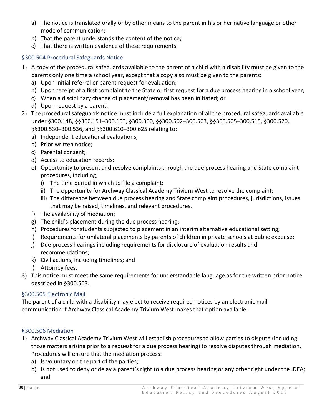- a) The notice is translated orally or by other means to the parent in his or her native language or other mode of communication;
- b) That the parent understands the content of the notice;
- c) That there is written evidence of these requirements.

## <span id="page-25-0"></span>§300.504 Procedural Safeguards Notice

- 1) A copy of the procedural safeguards available to the parent of a child with a disability must be given to the parents only one time a school year, except that a copy also must be given to the parents:
	- a) Upon initial referral or parent request for evaluation;
	- b) Upon receipt of a first complaint to the State or first request for a due process hearing in a school year;
	- c) When a disciplinary change of placement/removal has been initiated; or
	- d) Upon request by a parent.
- 2) The procedural safeguards notice must include a full explanation of all the procedural safeguards available under §300.148, §§300.151–300.153, §300.300, §§300.502–300.503, §§300.505–300.515, §300.520, §§300.530–300.536, and §§300.610–300.625 relating to:
	- a) Independent educational evaluations;
	- b) Prior written notice;
	- c) Parental consent;
	- d) Access to education records;
	- e) Opportunity to present and resolve complaints through the due process hearing and State complaint procedures, including;
		- i) The time period in which to file a complaint;
		- ii) The opportunity for Archway Classical Academy Trivium West to resolve the complaint;
		- iii) The difference between due process hearing and State complaint procedures, jurisdictions, issues that may be raised, timelines, and relevant procedures.
	- f) The availability of mediation;
	- g) The child's placement during the due process hearing;
	- h) Procedures for students subjected to placement in an interim alternative educational setting;
	- i) Requirements for unilateral placements by parents of children in private schools at public expense;
	- j) Due process hearings including requirements for disclosure of evaluation results and recommendations;
	- k) Civil actions, including timelines; and
	- l) Attorney fees.
- 3) This notice must meet the same requirements for understandable language as for the written prior notice described in §300.503.

#### <span id="page-25-1"></span>§300.505 Electronic Mail

The parent of a child with a disability may elect to receive required notices by an electronic mail communication if Archway Classical Academy Trivium West makes that option available.

#### <span id="page-25-2"></span>§300.506 Mediation

- 1) Archway Classical Academy Trivium West will establish procedures to allow parties to dispute (including those matters arising prior to a request for a due process hearing) to resolve disputes through mediation. Procedures will ensure that the mediation process:
	- a) Is voluntary on the part of the parties;
	- b) Is not used to deny or delay a parent's right to a due process hearing or any other right under the IDEA; and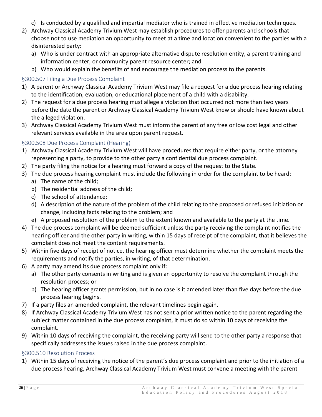- c) Is conducted by a qualified and impartial mediator who is trained in effective mediation techniques.
- 2) Archway Classical Academy Trivium West may establish procedures to offer parents and schools that choose not to use mediation an opportunity to meet at a time and location convenient to the parties with a disinterested party:
	- a) Who is under contract with an appropriate alternative dispute resolution entity, a parent training and information center, or community parent resource center; and
	- b) Who would explain the benefits of and encourage the mediation process to the parents.

## <span id="page-26-0"></span>§300.507 Filing a Due Process Complaint

- 1) A parent or Archway Classical Academy Trivium West may file a request for a due process hearing relating to the identification, evaluation, or educational placement of a child with a disability.
- 2) The request for a due process hearing must allege a violation that occurred not more than two years before the date the parent or Archway Classical Academy Trivium West knew or should have known about the alleged violation.
- 3) Archway Classical Academy Trivium West must inform the parent of any free or low cost legal and other relevant services available in the area upon parent request.

## <span id="page-26-1"></span>§300.508 Due Process Complaint (Hearing)

- 1) Archway Classical Academy Trivium West will have procedures that require either party, or the attorney representing a party, to provide to the other party a confidential due process complaint.
- 2) The party filing the notice for a hearing must forward a copy of the request to the State.
- 3) The due process hearing complaint must include the following in order for the complaint to be heard:
	- a) The name of the child;
	- b) The residential address of the child;
	- c) The school of attendance;
	- d) A description of the nature of the problem of the child relating to the proposed or refused initiation or change, including facts relating to the problem; and
	- e) A proposed resolution of the problem to the extent known and available to the party at the time.
- 4) The due process complaint will be deemed sufficient unless the party receiving the complaint notifies the hearing officer and the other party in writing, within 15 days of receipt of the complaint, that it believes the complaint does not meet the content requirements.
- 5) Within five days of receipt of notice, the hearing officer must determine whether the complaint meets the requirements and notify the parties, in writing, of that determination.
- 6) A party may amend its due process complaint only if:
	- a) The other party consents in writing and is given an opportunity to resolve the complaint through the resolution process; or
	- b) The hearing officer grants permission, but in no case is it amended later than five days before the due process hearing begins.
- 7) If a party files an amended complaint, the relevant timelines begin again.
- 8) If Archway Classical Academy Trivium West has not sent a prior written notice to the parent regarding the subject matter contained in the due process complaint, it must do so within 10 days of receiving the complaint.
- 9) Within 10 days of receiving the complaint, the receiving party will send to the other party a response that specifically addresses the issues raised in the due process complaint.

#### <span id="page-26-2"></span>§300.510 Resolution Process

1) Within 15 days of receiving the notice of the parent's due process complaint and prior to the initiation of a due process hearing, Archway Classical Academy Trivium West must convene a meeting with the parent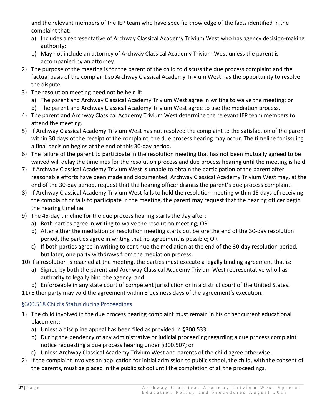and the relevant members of the IEP team who have specific knowledge of the facts identified in the complaint that:

- a) Includes a representative of Archway Classical Academy Trivium West who has agency decision-making authority;
- b) May not include an attorney of Archway Classical Academy Trivium West unless the parent is accompanied by an attorney.
- 2) The purpose of the meeting is for the parent of the child to discuss the due process complaint and the factual basis of the complaint so Archway Classical Academy Trivium West has the opportunity to resolve the dispute.
- 3) The resolution meeting need not be held if:
	- a) The parent and Archway Classical Academy Trivium West agree in writing to waive the meeting; or
	- b) The parent and Archway Classical Academy Trivium West agree to use the mediation process.
- 4) The parent and Archway Classical Academy Trivium West determine the relevant IEP team members to attend the meeting.
- 5) If Archway Classical Academy Trivium West has not resolved the complaint to the satisfaction of the parent within 30 days of the receipt of the complaint, the due process hearing may occur. The timeline for issuing a final decision begins at the end of this 30-day period.
- 6) The failure of the parent to participate in the resolution meeting that has not been mutually agreed to be waived will delay the timelines for the resolution process and due process hearing until the meeting is held.
- 7) If Archway Classical Academy Trivium West is unable to obtain the participation of the parent after reasonable efforts have been made and documented, Archway Classical Academy Trivium West may, at the end of the 30-day period, request that the hearing officer dismiss the parent's due process complaint.
- 8) If Archway Classical Academy Trivium West fails to hold the resolution meeting within 15 days of receiving the complaint or fails to participate in the meeting, the parent may request that the hearing officer begin the hearing timeline.
- 9) The 45-day timeline for the due process hearing starts the day after:
	- a) Both parties agree in writing to waive the resolution meeting; OR
	- b) After either the mediation or resolution meeting starts but before the end of the 30-day resolution period, the parties agree in writing that no agreement is possible; OR
	- c) If both parties agree in writing to continue the mediation at the end of the 30-day resolution period, but later, one party withdraws from the mediation process.
- 10) If a resolution is reached at the meeting, the parties must execute a legally binding agreement that is:
	- a) Signed by both the parent and Archway Classical Academy Trivium West representative who has authority to legally bind the agency; and
	- b) Enforceable in any state court of competent jurisdiction or in a district court of the United States.
- 11) Either party may void the agreement within 3 business days of the agreement's execution.

# <span id="page-27-0"></span>§300.518 Child's Status during Proceedings

- 1) The child involved in the due process hearing complaint must remain in his or her current educational placement:
	- a) Unless a discipline appeal has been filed as provided in §300.533;
	- b) During the pendency of any administrative or judicial proceeding regarding a due process complaint notice requesting a due process hearing under §300.507; or
	- c) Unless Archway Classical Academy Trivium West and parents of the child agree otherwise.
- 2) If the complaint involves an application for initial admission to public school, the child, with the consent of the parents, must be placed in the public school until the completion of all the proceedings.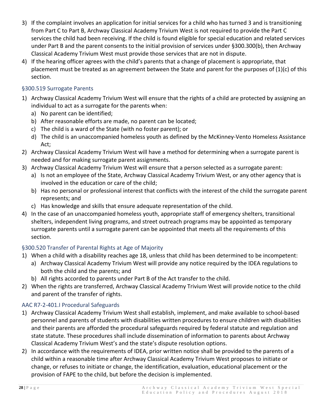- 3) If the complaint involves an application for initial services for a child who has turned 3 and is transitioning from Part C to Part B, Archway Classical Academy Trivium West is not required to provide the Part C services the child had been receiving. If the child is found eligible for special education and related services under Part B and the parent consents to the initial provision of services under §300.300(b), then Archway Classical Academy Trivium West must provide those services that are not in dispute.
- 4) If the hearing officer agrees with the child's parents that a change of placement is appropriate, that placement must be treated as an agreement between the State and parent for the purposes of (1)(c) of this section.

# <span id="page-28-0"></span>§300.519 Surrogate Parents

- 1) Archway Classical Academy Trivium West will ensure that the rights of a child are protected by assigning an individual to act as a surrogate for the parents when:
	- a) No parent can be identified;
	- b) After reasonable efforts are made, no parent can be located;
	- c) The child is a ward of the State (with no foster parent); or
	- d) The child is an unaccompanied homeless youth as defined by the McKinney-Vento Homeless Assistance Act;
- 2) Archway Classical Academy Trivium West will have a method for determining when a surrogate parent is needed and for making surrogate parent assignments.
- 3) Archway Classical Academy Trivium West will ensure that a person selected as a surrogate parent:
	- a) Is not an employee of the State, Archway Classical Academy Trivium West, or any other agency that is involved in the education or care of the child;
	- b) Has no personal or professional interest that conflicts with the interest of the child the surrogate parent represents; and
	- c) Has knowledge and skills that ensure adequate representation of the child.
- 4) In the case of an unaccompanied homeless youth, appropriate staff of emergency shelters, transitional shelters, independent living programs, and street outreach programs may be appointed as temporary surrogate parents until a surrogate parent can be appointed that meets all the requirements of this section.

# <span id="page-28-1"></span>§300.520 Transfer of Parental Rights at Age of Majority

- 1) When a child with a disability reaches age 18, unless that child has been determined to be incompetent:
	- a) Archway Classical Academy Trivium West will provide any notice required by the IDEA regulations to both the child and the parents; and
	- b) All rights accorded to parents under Part B of the Act transfer to the child.
- 2) When the rights are transferred, Archway Classical Academy Trivium West will provide notice to the child and parent of the transfer of rights.

# <span id="page-28-2"></span>AAC R7-2-401.I Procedural Safeguards

- 1) Archway Classical Academy Trivium West shall establish, implement, and make available to school-based personnel and parents of students with disabilities written procedures to ensure children with disabilities and their parents are afforded the procedural safeguards required by federal statute and regulation and state statute. These procedures shall include dissemination of information to parents about Archway Classical Academy Trivium West's and the state's dispute resolution options.
- 2) In accordance with the requirements of IDEA, prior written notice shall be provided to the parents of a child within a reasonable time after Archway Classical Academy Trivium West proposes to initiate or change, or refuses to initiate or change, the identification, evaluation, educational placement or the provision of FAPE to the child, but before the decision is implemented.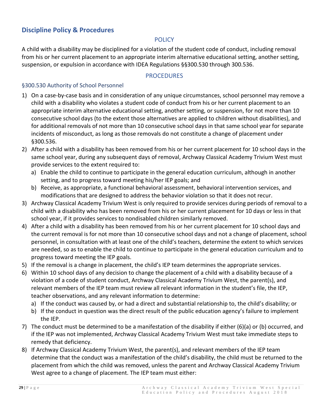# <span id="page-29-1"></span><span id="page-29-0"></span>**Discipline Policy & Procedures**

#### **POLICY**

A child with a disability may be disciplined for a violation of the student code of conduct, including removal from his or her current placement to an appropriate interim alternative educational setting, another setting, suspension, or expulsion in accordance with IDEA Regulations §§300.530 through 300.536.

#### PROCEDURES

#### <span id="page-29-3"></span><span id="page-29-2"></span>§300.530 Authority of School Personnel

- 1) On a case-by-case basis and in consideration of any unique circumstances, school personnel may remove a child with a disability who violates a student code of conduct from his or her current placement to an appropriate interim alternative educational setting, another setting, or suspension, for not more than 10 consecutive school days (to the extent those alternatives are applied to children without disabilities), and for additional removals of not more than 10 consecutive school days in that same school year for separate incidents of misconduct, as long as those removals do not constitute a change of placement under §300.536.
- 2) After a child with a disability has been removed from his or her current placement for 10 school days in the same school year, during any subsequent days of removal, Archway Classical Academy Trivium West must provide services to the extent required to:
	- a) Enable the child to continue to participate in the general education curriculum, although in another setting, and to progress toward meeting his/her IEP goals; and
	- b) Receive, as appropriate, a functional behavioral assessment, behavioral intervention services, and modifications that are designed to address the behavior violation so that it does not recur.
- 3) Archway Classical Academy Trivium West is only required to provide services during periods of removal to a child with a disability who has been removed from his or her current placement for 10 days or less in that school year, if it provides services to nondisabled children similarly removed.
- 4) After a child with a disability has been removed from his or her current placement for 10 school days and the current removal is for not more than 10 consecutive school days and not a change of placement, school personnel, in consultation with at least one of the child's teachers, determine the extent to which services are needed, so as to enable the child to continue to participate in the general education curriculum and to progress toward meeting the IEP goals.
- 5) If the removal is a change in placement, the child's IEP team determines the appropriate services.
- 6) Within 10 school days of any decision to change the placement of a child with a disability because of a violation of a code of student conduct, Archway Classical Academy Trivium West, the parent(s), and relevant members of the IEP team must review all relevant information in the student's file, the IEP, teacher observations, and any relevant information to determine:
	- a) If the conduct was caused by, or had a direct and substantial relationship to, the child's disability; or
	- b) If the conduct in question was the direct result of the public education agency's failure to implement the IEP.
- 7) The conduct must be determined to be a manifestation of the disability if either (6)(a) or (b) occurred, and if the IEP was not implemented, Archway Classical Academy Trivium West must take immediate steps to remedy that deficiency.
- 8) If Archway Classical Academy Trivium West, the parent(s), and relevant members of the IEP team determine that the conduct was a manifestation of the child's disability, the child must be returned to the placement from which the child was removed, unless the parent and Archway Classical Academy Trivium West agree to a change of placement. The IEP team must either: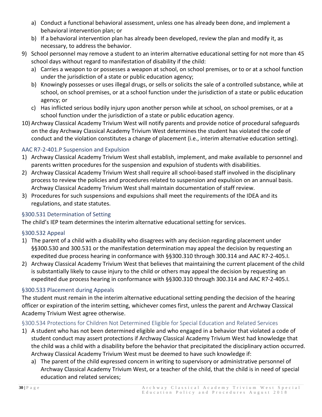- a) Conduct a functional behavioral assessment, unless one has already been done, and implement a behavioral intervention plan; or
- b) If a behavioral intervention plan has already been developed, review the plan and modify it, as necessary, to address the behavior.
- 9) School personnel may remove a student to an interim alternative educational setting for not more than 45 school days without regard to manifestation of disability if the child:
	- a) Carries a weapon to or possesses a weapon at school, on school premises, or to or at a school function under the jurisdiction of a state or public education agency;
	- b) Knowingly possesses or uses illegal drugs, or sells or solicits the sale of a controlled substance, while at school, on school premises, or at a school function under the jurisdiction of a state or public education agency; or
	- c) Has inflicted serious bodily injury upon another person while at school, on school premises, or at a school function under the jurisdiction of a state or public education agency.
- 10) Archway Classical Academy Trivium West will notify parents and provide notice of procedural safeguards on the day Archway Classical Academy Trivium West determines the student has violated the code of conduct and the violation constitutes a change of placement (i.e., interim alternative education setting).

# <span id="page-30-0"></span>AAC R7-2-401.P Suspension and Expulsion

- 1) Archway Classical Academy Trivium West shall establish, implement, and make available to personnel and parents written procedures for the suspension and expulsion of students with disabilities.
- 2) Archway Classical Academy Trivium West shall require all school-based staff involved in the disciplinary process to review the policies and procedures related to suspension and expulsion on an annual basis. Archway Classical Academy Trivium West shall maintain documentation of staff review.
- 3) Procedures for such suspensions and expulsions shall meet the requirements of the IDEA and its regulations, and state statutes.

# <span id="page-30-1"></span>§300.531 Determination of Setting

The child's IEP team determines the interim alternative educational setting for services.

# <span id="page-30-2"></span>§300.532 Appeal

- 1) The parent of a child with a disability who disagrees with any decision regarding placement under §§300.530 and 300.531 or the manifestation determination may appeal the decision by requesting an expedited due process hearing in conformance with §§300.310 through 300.314 and AAC R7-2-405.I.
- 2) Archway Classical Academy Trivium West that believes that maintaining the current placement of the child is substantially likely to cause injury to the child or others may appeal the decision by requesting an expedited due process hearing in conformance with §§300.310 through 300.314 and AAC R7-2-405.I.

# <span id="page-30-3"></span>§300.533 Placement during Appeals

The student must remain in the interim alternative educational setting pending the decision of the hearing officer or expiration of the interim setting, whichever comes first, unless the parent and Archway Classical Academy Trivium West agree otherwise.

# <span id="page-30-4"></span>§300.534 Protections for Children Not Determined Eligible for Special Education and Related Services

- 1) A student who has not been determined eligible and who engaged in a behavior that violated a code of student conduct may assert protections if Archway Classical Academy Trivium West had knowledge that the child was a child with a disability before the behavior that precipitated the disciplinary action occurred. Archway Classical Academy Trivium West must be deemed to have such knowledge if:
	- a) The parent of the child expressed concern in writing to supervisory or administrative personnel of Archway Classical Academy Trivium West, or a teacher of the child, that the child is in need of special education and related services;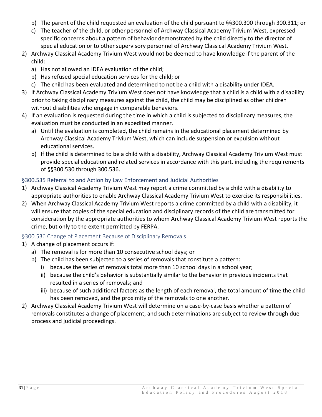- b) The parent of the child requested an evaluation of the child pursuant to §§300.300 through 300.311; or
- c) The teacher of the child, or other personnel of Archway Classical Academy Trivium West, expressed specific concerns about a pattern of behavior demonstrated by the child directly to the director of special education or to other supervisory personnel of Archway Classical Academy Trivium West.
- 2) Archway Classical Academy Trivium West would not be deemed to have knowledge if the parent of the child:
	- a) Has not allowed an IDEA evaluation of the child;
	- b) Has refused special education services for the child; or
	- c) The child has been evaluated and determined to not be a child with a disability under IDEA.
- 3) If Archway Classical Academy Trivium West does not have knowledge that a child is a child with a disability prior to taking disciplinary measures against the child, the child may be disciplined as other children without disabilities who engage in comparable behaviors.
- 4) If an evaluation is requested during the time in which a child is subjected to disciplinary measures, the evaluation must be conducted in an expedited manner.
	- a) Until the evaluation is completed, the child remains in the educational placement determined by Archway Classical Academy Trivium West, which can include suspension or expulsion without educational services.
	- b) If the child is determined to be a child with a disability, Archway Classical Academy Trivium West must provide special education and related services in accordance with this part, including the requirements of §§300.530 through 300.536.

# <span id="page-31-0"></span>§300.535 Referral to and Action by Law Enforcement and Judicial Authorities

- 1) Archway Classical Academy Trivium West may report a crime committed by a child with a disability to appropriate authorities to enable Archway Classical Academy Trivium West to exercise its responsibilities.
- 2) When Archway Classical Academy Trivium West reports a crime committed by a child with a disability, it will ensure that copies of the special education and disciplinary records of the child are transmitted for consideration by the appropriate authorities to whom Archway Classical Academy Trivium West reports the crime, but only to the extent permitted by FERPA.

# <span id="page-31-1"></span>§300.536 Change of Placement Because of Disciplinary Removals

- 1) A change of placement occurs if:
	- a) The removal is for more than 10 consecutive school days; or
	- b) The child has been subjected to a series of removals that constitute a pattern:
		- i) because the series of removals total more than 10 school days in a school year;
		- ii) because the child's behavior is substantially similar to the behavior in previous incidents that resulted in a series of removals; and
		- iii) because of such additional factors as the length of each removal, the total amount of time the child has been removed, and the proximity of the removals to one another.
- 2) Archway Classical Academy Trivium West will determine on a case-by-case basis whether a pattern of removals constitutes a change of placement, and such determinations are subject to review through due process and judicial proceedings.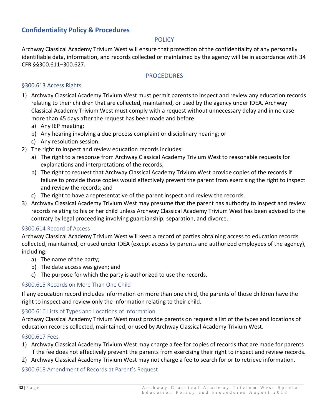# <span id="page-32-1"></span><span id="page-32-0"></span>**Confidentiality Policy & Procedures**

#### **POLICY**

Archway Classical Academy Trivium West will ensure that protection of the confidentiality of any personally identifiable data, information, and records collected or maintained by the agency will be in accordance with 34 CFR §§300.611–300.627.

#### PROCEDURES

#### <span id="page-32-3"></span><span id="page-32-2"></span>§300.613 Access Rights

- 1) Archway Classical Academy Trivium West must permit parents to inspect and review any education records relating to their children that are collected, maintained, or used by the agency under IDEA. Archway Classical Academy Trivium West must comply with a request without unnecessary delay and in no case more than 45 days after the request has been made and before:
	- a) Any IEP meeting;
	- b) Any hearing involving a due process complaint or disciplinary hearing; or
	- c) Any resolution session.
- 2) The right to inspect and review education records includes:
	- a) The right to a response from Archway Classical Academy Trivium West to reasonable requests for explanations and interpretations of the records;
	- b) The right to request that Archway Classical Academy Trivium West provide copies of the records if failure to provide those copies would effectively prevent the parent from exercising the right to inspect and review the records; and
	- c) The right to have a representative of the parent inspect and review the records.
- 3) Archway Classical Academy Trivium West may presume that the parent has authority to inspect and review records relating to his or her child unless Archway Classical Academy Trivium West has been advised to the contrary by legal proceeding involving guardianship, separation, and divorce.

#### <span id="page-32-4"></span>§300.614 Record of Access

Archway Classical Academy Trivium West will keep a record of parties obtaining access to education records collected, maintained, or used under IDEA (except access by parents and authorized employees of the agency), including:

- a) The name of the party;
- b) The date access was given; and
- c) The purpose for which the party is authorized to use the records.

#### <span id="page-32-5"></span>§300.615 Records on More Than One Child

If any education record includes information on more than one child, the parents of those children have the right to inspect and review only the information relating to their child.

#### <span id="page-32-6"></span>§300.616 Lists of Types and Locations of Information

Archway Classical Academy Trivium West must provide parents on request a list of the types and locations of education records collected, maintained, or used by Archway Classical Academy Trivium West.

#### <span id="page-32-7"></span>§300.617 Fees

- 1) Archway Classical Academy Trivium West may charge a fee for copies of records that are made for parents if the fee does not effectively prevent the parents from exercising their right to inspect and review records.
- 2) Archway Classical Academy Trivium West may not charge a fee to search for or to retrieve information.

<span id="page-32-8"></span>§300.618 Amendment of Records at Parent's Request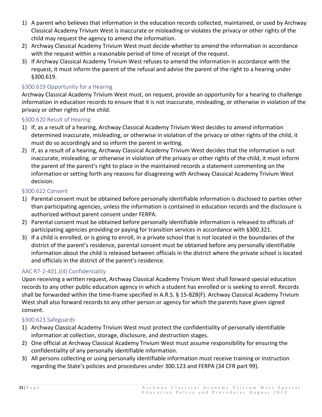- 1) A parent who believes that information in the education records collected, maintained, or used by Archway Classical Academy Trivium West is inaccurate or misleading or violates the privacy or other rights of the child may request the agency to amend the information.
- 2) Archway Classical Academy Trivium West must decide whether to amend the information in accordance with the request within a reasonable period of time of receipt of the request.
- 3) If Archway Classical Academy Trivium West refuses to amend the information in accordance with the request, it must inform the parent of the refusal and advise the parent of the right to a hearing under §300.619.

## <span id="page-33-0"></span>§300.619 Opportunity for a Hearing

Archway Classical Academy Trivium West must, on request, provide an opportunity for a hearing to challenge information in education records to ensure that it is not inaccurate, misleading, or otherwise in violation of the privacy or other rights of the child.

#### <span id="page-33-1"></span>§300.620 Result of Hearing

- 1) If, as a result of a hearing, Archway Classical Academy Trivium West decides to amend information determined inaccurate, misleading, or otherwise in violation of the privacy or other rights of the child, it must do so accordingly and so inform the parent in writing.
- 2) If, as a result of a hearing, Archway Classical Academy Trivium West decides that the information is not inaccurate, misleading, or otherwise in violation of the privacy or other rights of the child, it must inform the parent of the parent's right to place in the maintained records a statement commenting on the information or setting forth any reasons for disagreeing with Archway Classical Academy Trivium West decision.

#### <span id="page-33-2"></span>§300.622 Consent

- 1) Parental consent must be obtained before personally identifiable information is disclosed to parties other than participating agencies, unless the information is contained in education records and the disclosure is authorized without parent consent under FERPA.
- 2) Parental consent must be obtained before personally identifiable information is released to officials of participating agencies providing or paying for transition services in accordance with §300.321.
- 3) If a child is enrolled, or is going to enroll, in a private school that is not located in the boundaries of the district of the parent's residence, parental consent must be obtained before any personally identifiable information about the child is released between officials in the district where the private school is located and officials in the district of the parent's residence.

#### <span id="page-33-3"></span>AAC R7-2-401.J(4) Confidentiality

Upon receiving a written request, Archway Classical Academy Trivium West shall forward special education records to any other public education agency in which a student has enrolled or is seeking to enroll. Records shall be forwarded within the time-frame specified in A.R.S. § 15-828(F). Archway Classical Academy Trivium West shall also forward records to any other person or agency for which the parents have given signed consent.

#### <span id="page-33-4"></span>§300.623 Safeguards

- 1) Archway Classical Academy Trivium West must protect the confidentiality of personally identifiable information at collection, storage, disclosure, and destruction stages.
- 2) One official at Archway Classical Academy Trivium West must assume responsibility for ensuring the confidentiality of any personally identifiable information.
- 3) All persons collecting or using personally identifiable information must receive training or instruction regarding the State's policies and procedures under 300.123 and FERPA (34 CFR part 99).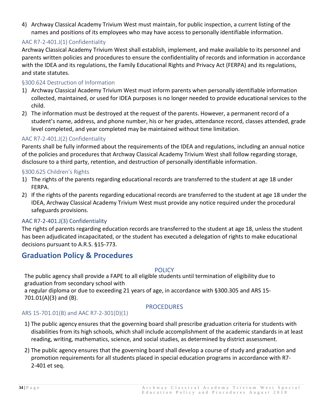4) Archway Classical Academy Trivium West must maintain, for public inspection, a current listing of the names and positions of its employees who may have access to personally identifiable information.

## <span id="page-34-0"></span>AAC R7-2-401.J(1) Confidentiality

Archway Classical Academy Trivium West shall establish, implement, and make available to its personnel and parents written policies and procedures to ensure the confidentiality of records and information in accordance with the IDEA and its regulations, the Family Educational Rights and Privacy Act (FERPA) and its regulations, and state statutes.

#### <span id="page-34-1"></span>§300.624 Destruction of Information

- 1) Archway Classical Academy Trivium West must inform parents when personally identifiable information collected, maintained, or used for IDEA purposes is no longer needed to provide educational services to the child.
- 2) The information must be destroyed at the request of the parents. However, a permanent record of a student's name, address, and phone number, his or her grades, attendance record, classes attended, grade level completed, and year completed may be maintained without time limitation.

#### <span id="page-34-2"></span>AAC R7-2-401.J(2) Confidentiality

Parents shall be fully informed about the requirements of the IDEA and regulations, including an annual notice of the policies and procedures that Archway Classical Academy Trivium West shall follow regarding storage, disclosure to a third party, retention, and destruction of personally identifiable information.

#### <span id="page-34-3"></span>§300.625 Children's Rights

- 1) The rights of the parents regarding educational records are transferred to the student at age 18 under FERPA.
- 2) If the rights of the parents regarding educational records are transferred to the student at age 18 under the IDEA, Archway Classical Academy Trivium West must provide any notice required under the procedural safeguards provisions.

#### <span id="page-34-4"></span>AAC R7-2-401.J(3) Confidentiality

The rights of parents regarding education records are transferred to the student at age 18, unless the student has been adjudicated incapacitated, or the student has executed a delegation of rights to make educational decisions pursuant to A.R.S. §15-773.

# <span id="page-34-5"></span>**Graduation Policy & Procedures**

#### **POLICY**

<span id="page-34-6"></span>The public agency shall provide a FAPE to all eligible students until termination of eligibility due to graduation from secondary school with

a regular diploma or due to exceeding 21 years of age, in accordance with §300.305 and ARS 15- 701.01(A)(3) and (B).

#### PROCEDURES

#### <span id="page-34-8"></span><span id="page-34-7"></span>ARS 15-701.01(B) and AAC R7-2-301(D)(1)

- 1) The public agency ensures that the governing board shall prescribe graduation criteria for students with disabilities from its high schools, which shall include accomplishment of the academic standards in at least reading, writing, mathematics, science, and social studies, as determined by district assessment.
- 2) The public agency ensures that the governing board shall develop a course of study and graduation and promotion requirements for all students placed in special education programs in accordance with R7- 2-401 et seq.